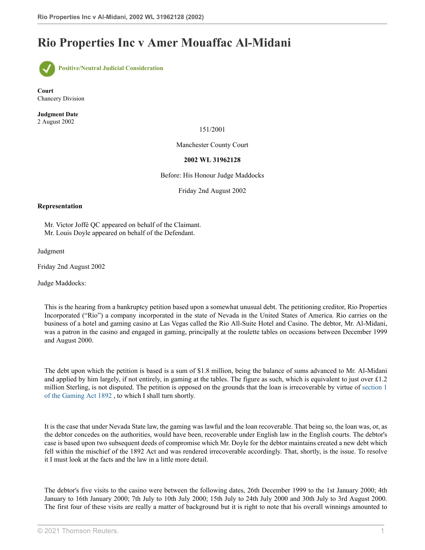## **Rio Properties Inc v Amer Mouaffac Al-Midani**



**Court** Chancery Division

**Judgment Date** 2 August 2002

151/2001

Manchester County Court

## **2002 WL 31962128**

Before: His Honour Judge Maddocks

Friday 2nd August 2002

## **Representation**

Mr. Victor Joffé QC appeared on behalf of the Claimant. Mr. Louis Doyle appeared on behalf of the Defendant.

Judgment

Friday 2nd August 2002

Judge Maddocks:

This is the hearing from a bankruptcy petition based upon a somewhat unusual debt. The petitioning creditor, Rio Properties Incorporated ("Rio") a company incorporated in the state of Nevada in the United States of America. Rio carries on the business of a hotel and gaming casino at Las Vegas called the Rio All-Suite Hotel and Casino. The debtor, Mr. Al-Midani, was a patron in the casino and engaged in gaming, principally at the roulette tables on occasions between December 1999 and August 2000.

The debt upon which the petition is based is a sum of \$1.8 million, being the balance of sums advanced to Mr. Al-Midani and applied by him largely, if not entirely, in gaming at the tables. The figure as such, which is equivalent to just over £1.2 million Sterling, is not disputed. The petition is opposed on the grounds that the loan is irrecoverable by virtue of [section 1](http://uk.practicallaw.thomsonreuters.com/Document/I25F655D0E44811DA8D70A0E70A78ED65/View/FullText.html?originationContext=document&transitionType=DocumentItem&vr=3.0&rs=PLUK1.0&contextData=(sc.DocLink)) [of the Gaming Act 1892](http://uk.practicallaw.thomsonreuters.com/Document/I25F655D0E44811DA8D70A0E70A78ED65/View/FullText.html?originationContext=document&transitionType=DocumentItem&vr=3.0&rs=PLUK1.0&contextData=(sc.DocLink)) , to which I shall turn shortly.

It is the case that under Nevada State law, the gaming was lawful and the loan recoverable. That being so, the loan was, or, as the debtor concedes on the authorities, would have been, recoverable under English law in the English courts. The debtor's case is based upon two subsequent deeds of compromise which Mr. Doyle for the debtor maintains created a new debt which fell within the mischief of the 1892 Act and was rendered irrecoverable accordingly. That, shortly, is the issue. To resolve it I must look at the facts and the law in a little more detail.

The debtor's five visits to the casino were between the following dates, 26th December 1999 to the 1st January 2000; 4th January to 16th January 2000; 7th July to 10th July 2000; 15th July to 24th July 2000 and 30th July to 3rd August 2000. The first four of these visits are really a matter of background but it is right to note that his overall winnings amounted to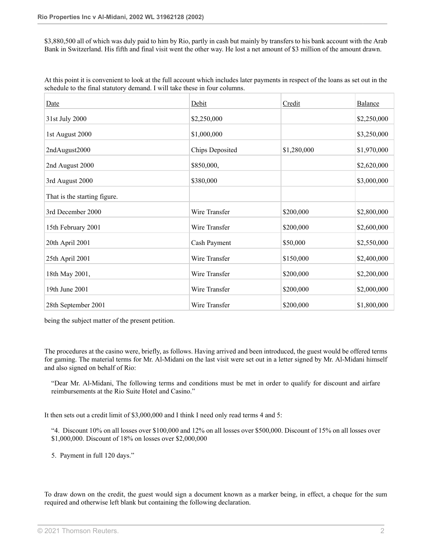\$3,880,500 all of which was duly paid to him by Rio, partly in cash but mainly by transfers to his bank account with the Arab Bank in Switzerland. His fifth and final visit went the other way. He lost a net amount of \$3 million of the amount drawn.

At this point it is convenient to look at the full account which includes later payments in respect of the loans as set out in the schedule to the final statutory demand. I will take these in four columns.

| <b>Date</b>                  | Debit           | Credit      | Balance     |
|------------------------------|-----------------|-------------|-------------|
| 31st July 2000               | \$2,250,000     |             | \$2,250,000 |
| 1st August 2000              | \$1,000,000     |             | \$3,250,000 |
| 2ndAugust2000                | Chips Deposited | \$1,280,000 | \$1,970,000 |
| 2nd August 2000              | \$850,000,      |             | \$2,620,000 |
| 3rd August 2000              | \$380,000       |             | \$3,000,000 |
| That is the starting figure. |                 |             |             |
| 3rd December 2000            | Wire Transfer   | \$200,000   | \$2,800,000 |
| 15th February 2001           | Wire Transfer   | \$200,000   | \$2,600,000 |
| 20th April 2001              | Cash Payment    | \$50,000    | \$2,550,000 |
| 25th April 2001              | Wire Transfer   | \$150,000   | \$2,400,000 |
| 18th May 2001,               | Wire Transfer   | \$200,000   | \$2,200,000 |
| 19th June 2001               | Wire Transfer   | \$200,000   | \$2,000,000 |
| 28th September 2001          | Wire Transfer   | \$200,000   | \$1,800,000 |

being the subject matter of the present petition.

The procedures at the casino were, briefly, as follows. Having arrived and been introduced, the guest would be offered terms for gaming. The material terms for Mr. Al-Midani on the last visit were set out in a letter signed by Mr. Al-Midani himself and also signed on behalf of Rio:

"Dear Mr. Al-Midani, The following terms and conditions must be met in order to qualify for discount and airfare reimbursements at the Rio Suite Hotel and Casino."

It then sets out a credit limit of \$3,000,000 and I think I need only read terms 4 and 5:

"4. Discount 10% on all losses over \$100,000 and 12% on all losses over \$500,000. Discount of 15% on all losses over \$1,000,000. Discount of 18% on losses over \$2,000,000

5. Payment in full 120 days."

To draw down on the credit, the guest would sign a document known as a marker being, in effect, a cheque for the sum required and otherwise left blank but containing the following declaration.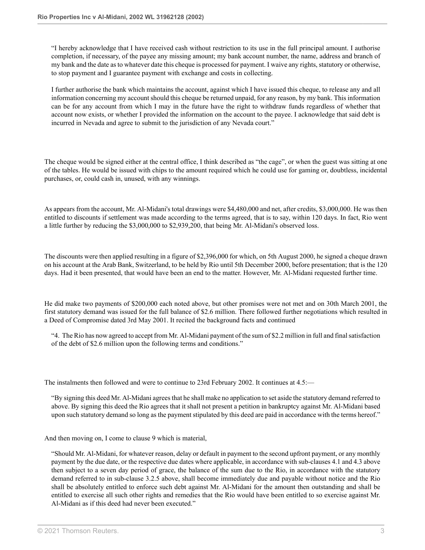"I hereby acknowledge that I have received cash without restriction to its use in the full principal amount. I authorise completion, if necessary, of the payee any missing amount; my bank account number, the name, address and branch of my bank and the date as to whatever date this cheque is processed for payment. I waive any rights, statutory or otherwise, to stop payment and I guarantee payment with exchange and costs in collecting.

I further authorise the bank which maintains the account, against which I have issued this cheque, to release any and all information concerning my account should this cheque be returned unpaid, for any reason, by my bank. This information can be for any account from which I may in the future have the right to withdraw funds regardless of whether that account now exists, or whether I provided the information on the account to the payee. I acknowledge that said debt is incurred in Nevada and agree to submit to the jurisdiction of any Nevada court."

The cheque would be signed either at the central office, I think described as "the cage", or when the guest was sitting at one of the tables. He would be issued with chips to the amount required which he could use for gaming or, doubtless, incidental purchases, or, could cash in, unused, with any winnings.

As appears from the account, Mr. Al-Midani's total drawings were \$4,480,000 and net, after credits, \$3,000,000. He was then entitled to discounts if settlement was made according to the terms agreed, that is to say, within 120 days. In fact, Rio went a little further by reducing the \$3,000,000 to \$2,939,200, that being Mr. Al-Midani's observed loss.

The discounts were then applied resulting in a figure of \$2,396,000 for which, on 5th August 2000, he signed a cheque drawn on his account at the Arab Bank, Switzerland, to be held by Rio until 5th December 2000, before presentation; that is the 120 days. Had it been presented, that would have been an end to the matter. However, Mr. Al-Midani requested further time.

He did make two payments of \$200,000 each noted above, but other promises were not met and on 30th March 2001, the first statutory demand was issued for the full balance of \$2.6 million. There followed further negotiations which resulted in a Deed of Compromise dated 3rd May 2001. It recited the background facts and continued

"4. The Rio has now agreed to accept from Mr. Al-Midani payment of the sum of \$2.2 million in full and final satisfaction of the debt of \$2.6 million upon the following terms and conditions."

The instalments then followed and were to continue to 23rd February 2002. It continues at 4.5:—

"By signing this deed Mr. Al-Midani agrees that he shall make no application to set aside the statutory demand referred to above. By signing this deed the Rio agrees that it shall not present a petition in bankruptcy against Mr. Al-Midani based upon such statutory demand so long as the payment stipulated by this deed are paid in accordance with the terms hereof."

And then moving on, I come to clause 9 which is material,

"Should Mr. Al-Midani, for whatever reason, delay or default in payment to the second upfront payment, or any monthly payment by the due date, or the respective due dates where applicable, in accordance with sub-clauses 4.1 and 4.3 above then subject to a seven day period of grace, the balance of the sum due to the Rio, in accordance with the statutory demand referred to in sub-clause 3.2.5 above, shall become immediately due and payable without notice and the Rio shall be absolutely entitled to enforce such debt against Mr. Al-Midani for the amount then outstanding and shall be entitled to exercise all such other rights and remedies that the Rio would have been entitled to so exercise against Mr. Al-Midani as if this deed had never been executed."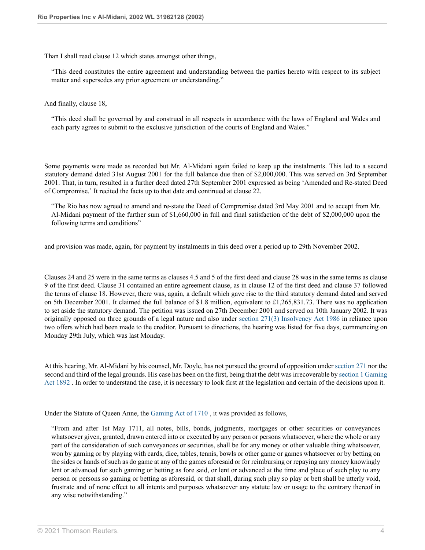Than I shall read clause 12 which states amongst other things,

"This deed constitutes the entire agreement and understanding between the parties hereto with respect to its subject matter and supersedes any prior agreement or understanding."

And finally, clause 18,

"This deed shall be governed by and construed in all respects in accordance with the laws of England and Wales and each party agrees to submit to the exclusive jurisdiction of the courts of England and Wales."

Some payments were made as recorded but Mr. Al-Midani again failed to keep up the instalments. This led to a second statutory demand dated 31st August 2001 for the full balance due then of \$2,000,000. This was served on 3rd September 2001. That, in turn, resulted in a further deed dated 27th September 2001 expressed as being 'Amended and Re-stated Deed of Compromise.' It recited the facts up to that date and continued at clause 22.

"The Rio has now agreed to amend and re-state the Deed of Compromise dated 3rd May 2001 and to accept from Mr. Al-Midani payment of the further sum of \$1,660,000 in full and final satisfaction of the debt of \$2,000,000 upon the following terms and conditions"

and provision was made, again, for payment by instalments in this deed over a period up to 29th November 2002.

Clauses 24 and 25 were in the same terms as clauses 4.5 and 5 of the first deed and clause 28 was in the same terms as clause 9 of the first deed. Clause 31 contained an entire agreement clause, as in clause 12 of the first deed and clause 37 followed the terms of clause 18. However, there was, again, a default which gave rise to the third statutory demand dated and served on 5th December 2001. It claimed the full balance of \$1.8 million, equivalent to £1,265,831.73. There was no application to set aside the statutory demand. The petition was issued on 27th December 2001 and served on 10th January 2002. It was originally opposed on three grounds of a legal nature and also under [section 271\(3\) Insolvency Act 1986](http://uk.practicallaw.thomsonreuters.com/Document/ID75D4DE0E44A11DA8D70A0E70A78ED65/View/FullText.html?originationContext=document&transitionType=DocumentItem&vr=3.0&rs=PLUK1.0&contextData=(sc.DocLink)) in reliance upon two offers which had been made to the creditor. Pursuant to directions, the hearing was listed for five days, commencing on Monday 29th July, which was last Monday.

At this hearing, Mr. Al-Midani by his counsel, Mr. Doyle, has not pursued the ground of opposition under [section 271](http://uk.practicallaw.thomsonreuters.com/Document/ID75D4DE0E44A11DA8D70A0E70A78ED65/View/FullText.html?originationContext=document&transitionType=DocumentItem&vr=3.0&rs=PLUK1.0&contextData=(sc.DocLink)) nor the second and third of the legal grounds. His case has been on the first, being that the debt was irrecoverable by [section 1 Gaming](http://uk.practicallaw.thomsonreuters.com/Document/I25F655D0E44811DA8D70A0E70A78ED65/View/FullText.html?originationContext=document&transitionType=DocumentItem&vr=3.0&rs=PLUK1.0&contextData=(sc.DocLink)) [Act 1892](http://uk.practicallaw.thomsonreuters.com/Document/I25F655D0E44811DA8D70A0E70A78ED65/View/FullText.html?originationContext=document&transitionType=DocumentItem&vr=3.0&rs=PLUK1.0&contextData=(sc.DocLink)) . In order to understand the case, it is necessary to look first at the legislation and certain of the decisions upon it.

Under the Statute of Queen Anne, the [Gaming Act of 1710](http://uk.practicallaw.thomsonreuters.com/Document/I613EE0F0E42311DAA7CF8F68F6EE57AB/View/FullText.html?originationContext=document&transitionType=DocumentItem&vr=3.0&rs=PLUK1.0&contextData=(sc.DocLink)) , it was provided as follows,

"From and after 1st May 1711, all notes, bills, bonds, judgments, mortgages or other securities or conveyances whatsoever given, granted, drawn entered into or executed by any person or persons whatsoever, where the whole or any part of the consideration of such conveyances or securities, shall be for any money or other valuable thing whatsoever, won by gaming or by playing with cards, dice, tables, tennis, bowls or other game or games whatsoever or by betting on the sides or hands of such as do game at any of the games aforesaid or for reimbursing or repaying any money knowingly lent or advanced for such gaming or betting as fore said, or lent or advanced at the time and place of such play to any person or persons so gaming or betting as aforesaid, or that shall, during such play so play or bett shall be utterly void, frustrate and of none effect to all intents and purposes whatsoever any statute law or usage to the contrary thereof in any wise notwithstanding."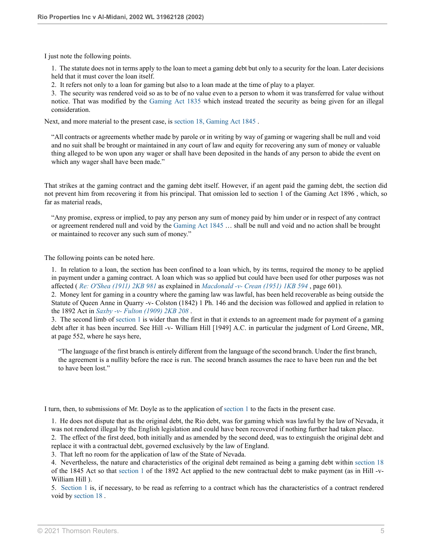I just note the following points.

1. The statute does not in terms apply to the loan to meet a gaming debt but only to a security for the loan. Later decisions held that it must cover the loan itself.

2. It refers not only to a loan for gaming but also to a loan made at the time of play to a player.

3. The security was rendered void so as to be of no value even to a person to whom it was transferred for value without notice. That was modified by the [Gaming Act 1835](http://uk.practicallaw.thomsonreuters.com/Document/I612C9171E42311DAA7CF8F68F6EE57AB/View/FullText.html?originationContext=document&transitionType=DocumentItem&vr=3.0&rs=PLUK1.0&contextData=(sc.DocLink)) which instead treated the security as being given for an illegal consideration.

Next, and more material to the present case, is [section 18, Gaming Act 1845](http://uk.practicallaw.thomsonreuters.com/Document/IFD9F2FD1E44711DA8D70A0E70A78ED65/View/FullText.html?originationContext=document&transitionType=DocumentItem&vr=3.0&rs=PLUK1.0&contextData=(sc.DocLink)) .

"All contracts or agreements whether made by parole or in writing by way of gaming or wagering shall be null and void and no suit shall be brought or maintained in any court of law and equity for recovering any sum of money or valuable thing alleged to be won upon any wager or shall have been deposited in the hands of any person to abide the event on which any wager shall have been made."

That strikes at the gaming contract and the gaming debt itself. However, if an agent paid the gaming debt, the section did not prevent him from recovering it from his principal. That omission led to section 1 of the Gaming Act 1896 , which, so far as material reads,

"Any promise, express or implied, to pay any person any sum of money paid by him under or in respect of any contract or agreement rendered null and void by the [Gaming Act 1845](http://uk.practicallaw.thomsonreuters.com/Document/I6123B7D0E42311DAA7CF8F68F6EE57AB/View/FullText.html?originationContext=document&transitionType=DocumentItem&vr=3.0&rs=PLUK1.0&contextData=(sc.DocLink)) … shall be null and void and no action shall be brought or maintained to recover any such sum of money."

The following points can be noted here.

1. In relation to a loan, the section has been confined to a loan which, by its terms, required the money to be applied in payment under a gaming contract. A loan which was so applied but could have been used for other purposes was not affected ( *[Re: O'Shea \(1911\) 2KB 981](http://uk.practicallaw.thomsonreuters.com/Document/I11E647A0E42811DA8FC2A0F0355337E9/View/FullText.html?originationContext=document&transitionType=DocumentItem&vr=3.0&rs=PLUK1.0&contextData=(sc.DocLink))* as explained in *[Macdonald -v- Crean \(1951\) 1KB 594](http://uk.practicallaw.thomsonreuters.com/Document/IE9127791E42711DA8FC2A0F0355337E9/View/FullText.html?originationContext=document&transitionType=DocumentItem&vr=3.0&rs=PLUK1.0&contextData=(sc.DocLink))* , page 601).

2. Money lent for gaming in a country where the gaming law was lawful, has been held recoverable as being outside the Statute of Queen Anne in Quarry -v- Colston (1842) 1 Ph. 146 and the decision was followed and applied in relation to the 1892 Act in *[Saxby -v- Fulton \(1909\) 2KB 208](http://uk.practicallaw.thomsonreuters.com/Document/I984822A0E42811DA8FC2A0F0355337E9/View/FullText.html?originationContext=document&transitionType=DocumentItem&vr=3.0&rs=PLUK1.0&contextData=(sc.DocLink))* .

3. The second limb of [section 1](http://uk.practicallaw.thomsonreuters.com/Document/I25F655D0E44811DA8D70A0E70A78ED65/View/FullText.html?originationContext=document&transitionType=DocumentItem&vr=3.0&rs=PLUK1.0&contextData=(sc.DocLink)) is wider than the first in that it extends to an agreement made for payment of a gaming debt after it has been incurred. See Hill -v- William Hill [1949] A.C. in particular the judgment of Lord Greene, MR, at page 552, where he says here,

"The language of the first branch is entirely different from the language of the second branch. Under the first branch, the agreement is a nullity before the race is run. The second branch assumes the race to have been run and the bet to have been lost."

I turn, then, to submissions of Mr. Doyle as to the application of [section 1](http://uk.practicallaw.thomsonreuters.com/Document/I25F655D0E44811DA8D70A0E70A78ED65/View/FullText.html?originationContext=document&transitionType=DocumentItem&vr=3.0&rs=PLUK1.0&contextData=(sc.DocLink)) to the facts in the present case.

1. He does not dispute that as the original debt, the Rio debt, was for gaming which was lawful by the law of Nevada, it was not rendered illegal by the English legislation and could have been recovered if nothing further had taken place.

2. The effect of the first deed, both initially and as amended by the second deed, was to extinguish the original debt and replace it with a contractual debt, governed exclusively by the law of England.

3. That left no room for the application of law of the State of Nevada.

4. Nevertheless, the nature and characteristics of the original debt remained as being a gaming debt within [section 18](http://uk.practicallaw.thomsonreuters.com/Document/IFD9F2FD1E44711DA8D70A0E70A78ED65/View/FullText.html?originationContext=document&transitionType=DocumentItem&vr=3.0&rs=PLUK1.0&contextData=(sc.DocLink)) of the 1845 Act so that [section 1](http://uk.practicallaw.thomsonreuters.com/Document/I25F655D0E44811DA8D70A0E70A78ED65/View/FullText.html?originationContext=document&transitionType=DocumentItem&vr=3.0&rs=PLUK1.0&contextData=(sc.DocLink)) of the 1892 Act applied to the new contractual debt to make payment (as in Hill -v-William Hill ).

5. [Section 1](http://uk.practicallaw.thomsonreuters.com/Document/I25F655D0E44811DA8D70A0E70A78ED65/View/FullText.html?originationContext=document&transitionType=DocumentItem&vr=3.0&rs=PLUK1.0&contextData=(sc.DocLink)) is, if necessary, to be read as referring to a contract which has the characteristics of a contract rendered void by [section 18](http://uk.practicallaw.thomsonreuters.com/Document/IFD9F2FD1E44711DA8D70A0E70A78ED65/View/FullText.html?originationContext=document&transitionType=DocumentItem&vr=3.0&rs=PLUK1.0&contextData=(sc.DocLink)) .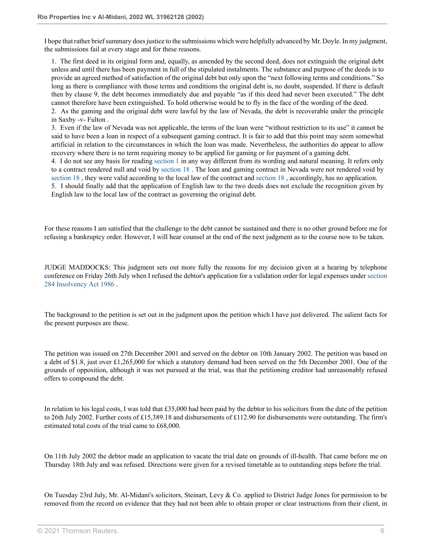I hope that rather brief summary does justice to the submissions which were helpfully advanced by Mr. Doyle. In my judgment, the submissions fail at every stage and for these reasons.

1. The first deed in its original form and, equally, as amended by the second deed, does not extinguish the original debt unless and until there has been payment in full of the stipulated instalments. The substance and purpose of the deeds is to provide an agreed method of satisfaction of the original debt but only upon the "next following terms and conditions." So long as there is compliance with those terms and conditions the original debt is, no doubt, suspended. If there is default then by clause 9, the debt becomes immediately due and payable "as if this deed had never been executed." The debt cannot therefore have been extinguished. To hold otherwise would be to fly in the face of the wording of the deed. 2. As the gaming and the original debt were lawful by the law of Nevada, the debt is recoverable under the principle

in Saxby -v- Fulton .

3. Even if the law of Nevada was not applicable, the terms of the loan were "without restriction to its use" it cannot be said to have been a loan in respect of a subsequent gaming contract. It is fair to add that this point may seem somewhat artificial in relation to the circumstances in which the loan was made. Nevertheless, the authorities do appear to allow recovery where there is no term requiring money to be applied for gaming or for payment of a gaming debt.

4. I do not see any basis for reading [section 1](http://uk.practicallaw.thomsonreuters.com/Document/I25F655D0E44811DA8D70A0E70A78ED65/View/FullText.html?originationContext=document&transitionType=DocumentItem&vr=3.0&rs=PLUK1.0&contextData=(sc.DocLink)) in any way different from its wording and natural meaning. It refers only to a contract rendered null and void by [section 18](http://uk.practicallaw.thomsonreuters.com/Document/IFD9F2FD1E44711DA8D70A0E70A78ED65/View/FullText.html?originationContext=document&transitionType=DocumentItem&vr=3.0&rs=PLUK1.0&contextData=(sc.DocLink)) . The loan and gaming contract in Nevada were not rendered void by [section 18](http://uk.practicallaw.thomsonreuters.com/Document/IFD9F2FD1E44711DA8D70A0E70A78ED65/View/FullText.html?originationContext=document&transitionType=DocumentItem&vr=3.0&rs=PLUK1.0&contextData=(sc.DocLink)) , they were valid according to the local law of the contract and [section 18](http://uk.practicallaw.thomsonreuters.com/Document/IFD9F2FD1E44711DA8D70A0E70A78ED65/View/FullText.html?originationContext=document&transitionType=DocumentItem&vr=3.0&rs=PLUK1.0&contextData=(sc.DocLink)) , accordingly, has no application.

5. I should finally add that the application of English law to the two deeds does not exclude the recognition given by English law to the local law of the contract as governing the original debt.

For these reasons I am satisfied that the challenge to the debt cannot be sustained and there is no other ground before me for refusing a bankruptcy order. However, I will hear counsel at the end of the next judgment as to the course now to be taken.

JUDGE MADDOCKS: This judgment sets out more fully the reasons for my decision given at a hearing by telephone conference on Friday 26th July when I refused the debtor's application for a validation order for legal expenses under [section](http://uk.practicallaw.thomsonreuters.com/Document/ID769F810E44A11DA8D70A0E70A78ED65/View/FullText.html?originationContext=document&transitionType=DocumentItem&vr=3.0&rs=PLUK1.0&contextData=(sc.DocLink)) [284 Insolvency Act 1986](http://uk.practicallaw.thomsonreuters.com/Document/ID769F810E44A11DA8D70A0E70A78ED65/View/FullText.html?originationContext=document&transitionType=DocumentItem&vr=3.0&rs=PLUK1.0&contextData=(sc.DocLink)) .

The background to the petition is set out in the judgment upon the petition which I have just delivered. The salient facts for the present purposes are these.

The petition was issued on 27th December 2001 and served on the debtor on 10th January 2002. The petition was based on a debt of \$1.8, just over £1,265,000 for which a statutory demand had been served on the 5th December 2001. One of the grounds of opposition, although it was not pursued at the trial, was that the petitioning creditor had unreasonably refused offers to compound the debt.

In relation to his legal costs, I was told that £35,000 had been paid by the debtor to his solicitors from the date of the petition to 26th July 2002. Further costs of £15,389.18 and disbursements of £112.90 for disbursements were outstanding. The firm's estimated total costs of the trial came to £68,000.

On 11th July 2002 the debtor made an application to vacate the trial date on grounds of ill-health. That came before me on Thursday 18th July and was refused. Directions were given for a revised timetable as to outstanding steps before the trial.

On Tuesday 23rd July, Mr. Al-Midani's solicitors, Steinart, Levy & Co. applied to District Judge Jones for permission to be removed from the record on evidence that they had not been able to obtain proper or clear instructions from their client, in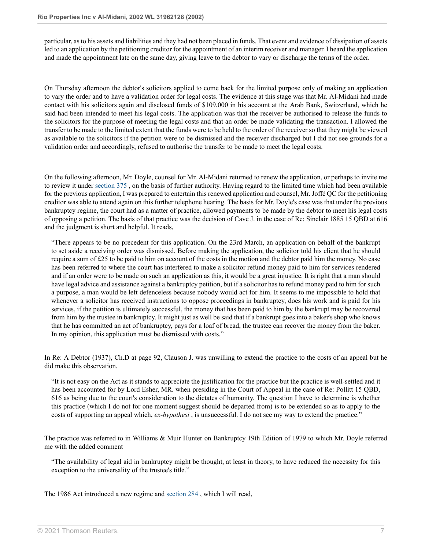particular, as to his assets and liabilities and they had not been placed in funds. That event and evidence of dissipation of assets led to an application by the petitioning creditor for the appointment of an interim receiver and manager. I heard the application and made the appointment late on the same day, giving leave to the debtor to vary or discharge the terms of the order.

On Thursday afternoon the debtor's solicitors applied to come back for the limited purpose only of making an application to vary the order and to have a validation order for legal costs. The evidence at this stage was that Mr. Al-Midani had made contact with his solicitors again and disclosed funds of \$109,000 in his account at the Arab Bank, Switzerland, which he said had been intended to meet his legal costs. The application was that the receiver be authorised to release the funds to the solicitors for the purpose of meeting the legal costs and that an order be made validating the transaction. I allowed the transfer to be made to the limited extent that the funds were to be held to the order of the receiver so that they might be viewed as available to the solicitors if the petition were to be dismissed and the receiver discharged but I did not see grounds for a validation order and accordingly, refused to authorise the transfer to be made to meet the legal costs.

On the following afternoon, Mr. Doyle, counsel for Mr. Al-Midani returned to renew the application, or perhaps to invite me to review it under [section 375](http://uk.practicallaw.thomsonreuters.com/Document/ID7B95090E44A11DA8D70A0E70A78ED65/View/FullText.html?originationContext=document&transitionType=DocumentItem&vr=3.0&rs=PLUK1.0&contextData=(sc.DocLink)) , on the basis of further authority. Having regard to the limited time which had been available for the previous application, I was prepared to entertain this renewed application and counsel, Mr. Joffé QC for the petitioning creditor was able to attend again on this further telephone hearing. The basis for Mr. Doyle's case was that under the previous bankruptcy regime, the court had as a matter of practice, allowed payments to be made by the debtor to meet his legal costs of opposing a petition. The basis of that practice was the decision of Cave J. in the case of Re: Sinclair 1885 15 QBD at 616 and the judgment is short and helpful. It reads,

"There appears to be no precedent for this application. On the 23rd March, an application on behalf of the bankrupt to set aside a receiving order was dismissed. Before making the application, the solicitor told his client that he should require a sum of £25 to be paid to him on account of the costs in the motion and the debtor paid him the money. No case has been referred to where the court has interfered to make a solicitor refund money paid to him for services rendered and if an order were to be made on such an application as this, it would be a great injustice. It is right that a man should have legal advice and assistance against a bankruptcy petition, but if a solicitor has to refund money paid to him for such a purpose, a man would be left defenceless because nobody would act for him. It seems to me impossible to hold that whenever a solicitor has received instructions to oppose proceedings in bankruptcy, does his work and is paid for his services, if the petition is ultimately successful, the money that has been paid to him by the bankrupt may be recovered from him by the trustee in bankruptcy. It might just as well be said that if a bankrupt goes into a baker's shop who knows that he has committed an act of bankruptcy, pays for a loaf of bread, the trustee can recover the money from the baker. In my opinion, this application must be dismissed with costs."

In Re: A Debtor (1937), Ch.D at page 92, Clauson J. was unwilling to extend the practice to the costs of an appeal but he did make this observation.

"It is not easy on the Act as it stands to appreciate the justification for the practice but the practice is well-settled and it has been accounted for by Lord Esher, MR. when presiding in the Court of Appeal in the case of Re: Pollitt 15 QBD, 616 as being due to the court's consideration to the dictates of humanity. The question I have to determine is whether this practice (which I do not for one moment suggest should be departed from) is to be extended so as to apply to the costs of supporting an appeal which, *ex-hypothesi* , is unsuccessful. I do not see my way to extend the practice."

The practice was referred to in Williams & Muir Hunter on Bankruptcy 19th Edition of 1979 to which Mr. Doyle referred me with the added comment

"The availability of legal aid in bankruptcy might be thought, at least in theory, to have reduced the necessity for this exception to the universality of the trustee's title."

The 1986 Act introduced a new regime and [section 284](http://uk.practicallaw.thomsonreuters.com/Document/ID769F810E44A11DA8D70A0E70A78ED65/View/FullText.html?originationContext=document&transitionType=DocumentItem&vr=3.0&rs=PLUK1.0&contextData=(sc.DocLink)) , which I will read,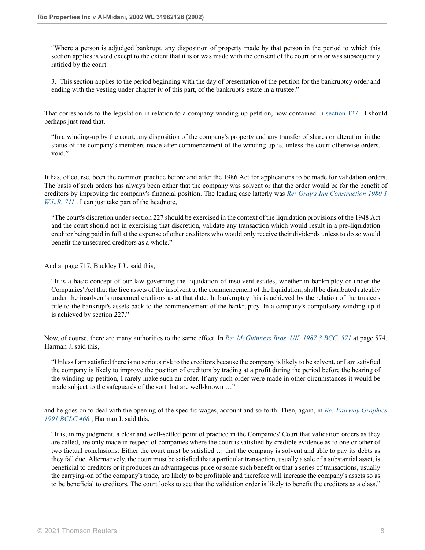"Where a person is adjudged bankrupt, any disposition of property made by that person in the period to which this section applies is void except to the extent that it is or was made with the consent of the court or is or was subsequently ratified by the court.

3. This section applies to the period beginning with the day of presentation of the petition for the bankruptcy order and ending with the vesting under chapter iv of this part, of the bankrupt's estate in a trustee."

That corresponds to the legislation in relation to a company winding-up petition, now contained in [section 127](http://uk.practicallaw.thomsonreuters.com/Document/ID6CD9101E44A11DA8D70A0E70A78ED65/View/FullText.html?originationContext=document&transitionType=DocumentItem&vr=3.0&rs=PLUK1.0&contextData=(sc.DocLink)) . I should perhaps just read that.

"In a winding-up by the court, any disposition of the company's property and any transfer of shares or alteration in the status of the company's members made after commencement of the winding-up is, unless the court otherwise orders, void."

It has, of course, been the common practice before and after the 1986 Act for applications to be made for validation orders. The basis of such orders has always been either that the company was solvent or that the order would be for the benefit of creditors by improving the company's financial position. The leading case latterly was *[Re: Gray's Inn Construction 1980 1](http://uk.practicallaw.thomsonreuters.com/Document/IB3BFA630E42711DA8FC2A0F0355337E9/View/FullText.html?originationContext=document&transitionType=DocumentItem&vr=3.0&rs=PLUK1.0&contextData=(sc.DocLink)) [W.L.R. 711](http://uk.practicallaw.thomsonreuters.com/Document/IB3BFA630E42711DA8FC2A0F0355337E9/View/FullText.html?originationContext=document&transitionType=DocumentItem&vr=3.0&rs=PLUK1.0&contextData=(sc.DocLink))* . I can just take part of the headnote,

"The court's discretion under section 227 should be exercised in the context of the liquidation provisions of the 1948 Act and the court should not in exercising that discretion, validate any transaction which would result in a pre-liquidation creditor being paid in full at the expense of other creditors who would only receive their dividends unless to do so would benefit the unsecured creditors as a whole."

And at page 717, Buckley LJ., said this,

"It is a basic concept of our law governing the liquidation of insolvent estates, whether in bankruptcy or under the Companies' Act that the free assets of the insolvent at the commencement of the liquidation, shall be distributed rateably under the insolvent's unsecured creditors as at that date. In bankruptcy this is achieved by the relation of the trustee's title to the bankrupt's assets back to the commencement of the bankruptcy. In a company's compulsory winding-up it is achieved by section 227."

Now, of course, there are many authorities to the same effect. In *[Re: McGuinness Bros. UK. 1987 3 BCC, 571](http://uk.practicallaw.thomsonreuters.com/Document/I769082C0E43611DA8FC2A0F0355337E9/View/FullText.html?originationContext=document&transitionType=DocumentItem&vr=3.0&rs=PLUK1.0&contextData=(sc.DocLink))* at page 574, Harman J. said this,

"Unless I am satisfied there is no serious risk to the creditors because the company is likely to be solvent, or I am satisfied the company is likely to improve the position of creditors by trading at a profit during the period before the hearing of the winding-up petition, I rarely make such an order. If any such order were made in other circumstances it would be made subject to the safeguards of the sort that are well-known ..."

and he goes on to deal with the opening of the specific wages, account and so forth. Then, again, in *[Re: Fairway Graphics](http://uk.practicallaw.thomsonreuters.com/Document/I5FC8C110E43611DA8FC2A0F0355337E9/View/FullText.html?originationContext=document&transitionType=DocumentItem&vr=3.0&rs=PLUK1.0&contextData=(sc.DocLink)) [1991 BCLC 468](http://uk.practicallaw.thomsonreuters.com/Document/I5FC8C110E43611DA8FC2A0F0355337E9/View/FullText.html?originationContext=document&transitionType=DocumentItem&vr=3.0&rs=PLUK1.0&contextData=(sc.DocLink))* , Harman J. said this,

"It is, in my judgment, a clear and well-settled point of practice in the Companies' Court that validation orders as they are called, are only made in respect of companies where the court is satisfied by credible evidence as to one or other of two factual conclusions: Either the court must be satisfied … that the company is solvent and able to pay its debts as they fall due. Alternatively, the court must be satisfied that a particular transaction, usually a sale of a substantial asset, is beneficial to creditors or it produces an advantageous price or some such benefit or that a series of transactions, usually the carrying-on of the company's trade, are likely to be profitable and therefore will increase the company's assets so as to be beneficial to creditors. The court looks to see that the validation order is likely to benefit the creditors as a class."